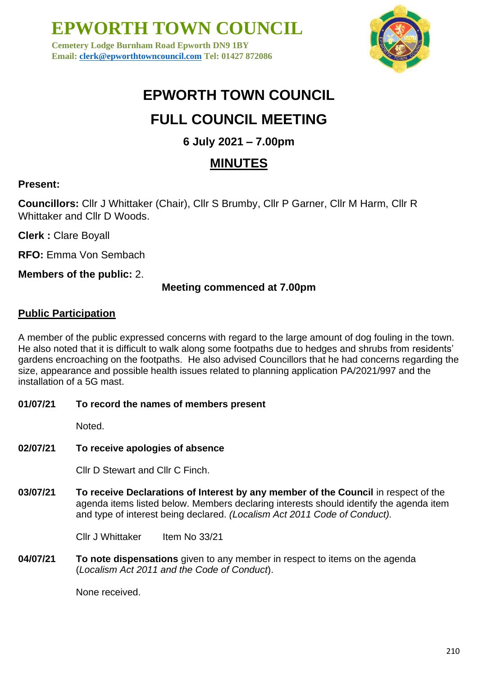**Cemetery Lodge Burnham Road Epworth DN9 1BY Email: [clerk@epworthtowncouncil.com](mailto:clerk@epworthtowncouncil.com) Tel: 01427 872086**



## **EPWORTH TOWN COUNCIL**

## **FULL COUNCIL MEETING**

### **6 July 2021 – 7.00pm**

### **MINUTES**

#### **Present:**

**Councillors:** Cllr J Whittaker (Chair), Cllr S Brumby, Cllr P Garner, Cllr M Harm, Cllr R Whittaker and Cllr D Woods.

**Clerk :** Clare Boyall

**RFO:** Emma Von Sembach

**Members of the public:** 2.

#### **Meeting commenced at 7.00pm**

#### **Public Participation**

A member of the public expressed concerns with regard to the large amount of dog fouling in the town. He also noted that it is difficult to walk along some footpaths due to hedges and shrubs from residents' gardens encroaching on the footpaths. He also advised Councillors that he had concerns regarding the size, appearance and possible health issues related to planning application PA/2021/997 and the installation of a 5G mast.

#### **01/07/21 To record the names of members present**

Noted.

### **02/07/21 To receive apologies of absence**

Cllr D Stewart and Cllr C Finch.

**03/07/21 To receive Declarations of Interest by any member of the Council** in respect of the agenda items listed below. Members declaring interests should identify the agenda item and type of interest being declared. *(Localism Act 2011 Code of Conduct).*

Cllr J Whittaker Item No 33/21

**04/07/21 To note dispensations** given to any member in respect to items on the agenda (*Localism Act 2011 and the Code of Conduct*).

None received.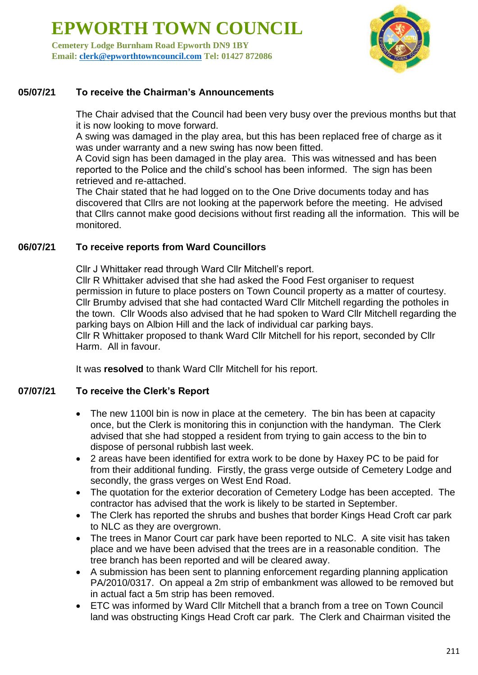**Cemetery Lodge Burnham Road Epworth DN9 1BY Email: [clerk@epworthtowncouncil.com](mailto:clerk@epworthtowncouncil.com) Tel: 01427 872086**



#### **05/07/21 To receive the Chairman's Announcements**

The Chair advised that the Council had been very busy over the previous months but that it is now looking to move forward.

A swing was damaged in the play area, but this has been replaced free of charge as it was under warranty and a new swing has now been fitted.

A Covid sign has been damaged in the play area. This was witnessed and has been reported to the Police and the child's school has been informed. The sign has been retrieved and re-attached.

The Chair stated that he had logged on to the One Drive documents today and has discovered that Cllrs are not looking at the paperwork before the meeting. He advised that Cllrs cannot make good decisions without first reading all the information. This will be monitored.

#### **06/07/21 To receive reports from Ward Councillors**

Cllr J Whittaker read through Ward Cllr Mitchell's report. Cllr R Whittaker advised that she had asked the Food Fest organiser to request permission in future to place posters on Town Council property as a matter of courtesy. Cllr Brumby advised that she had contacted Ward Cllr Mitchell regarding the potholes in the town. Cllr Woods also advised that he had spoken to Ward Cllr Mitchell regarding the parking bays on Albion Hill and the lack of individual car parking bays. Cllr R Whittaker proposed to thank Ward Cllr Mitchell for his report, seconded by Cllr Harm. All in favour.

It was **resolved** to thank Ward Cllr Mitchell for his report.

#### **07/07/21 To receive the Clerk's Report**

- The new 1100 bin is now in place at the cemetery. The bin has been at capacity once, but the Clerk is monitoring this in conjunction with the handyman. The Clerk advised that she had stopped a resident from trying to gain access to the bin to dispose of personal rubbish last week.
- 2 areas have been identified for extra work to be done by Haxey PC to be paid for from their additional funding. Firstly, the grass verge outside of Cemetery Lodge and secondly, the grass verges on West End Road.
- The quotation for the exterior decoration of Cemetery Lodge has been accepted. The contractor has advised that the work is likely to be started in September.
- The Clerk has reported the shrubs and bushes that border Kings Head Croft car park to NLC as they are overgrown.
- The trees in Manor Court car park have been reported to NLC. A site visit has taken place and we have been advised that the trees are in a reasonable condition. The tree branch has been reported and will be cleared away.
- A submission has been sent to planning enforcement regarding planning application PA/2010/0317. On appeal a 2m strip of embankment was allowed to be removed but in actual fact a 5m strip has been removed.
- ETC was informed by Ward Cllr Mitchell that a branch from a tree on Town Council land was obstructing Kings Head Croft car park. The Clerk and Chairman visited the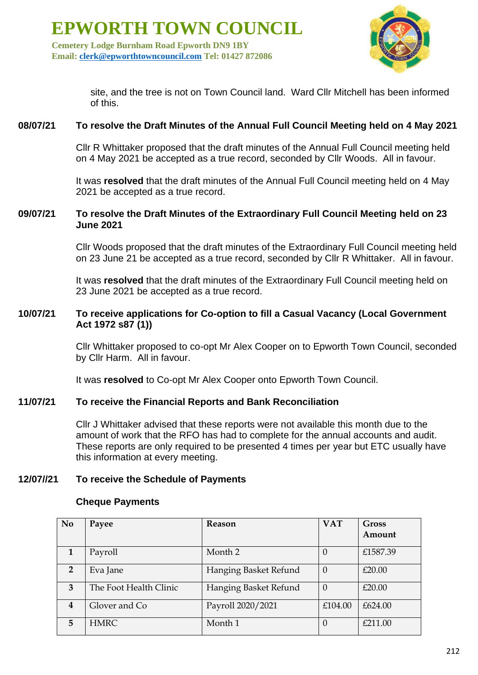**Cemetery Lodge Burnham Road Epworth DN9 1BY Email: [clerk@epworthtowncouncil.com](mailto:clerk@epworthtowncouncil.com) Tel: 01427 872086**



site, and the tree is not on Town Council land. Ward Cllr Mitchell has been informed of this.

#### **08/07/21 To resolve the Draft Minutes of the Annual Full Council Meeting held on 4 May 2021**

Cllr R Whittaker proposed that the draft minutes of the Annual Full Council meeting held on 4 May 2021 be accepted as a true record, seconded by Cllr Woods. All in favour.

It was **resolved** that the draft minutes of the Annual Full Council meeting held on 4 May 2021 be accepted as a true record.

#### **09/07/21 To resolve the Draft Minutes of the Extraordinary Full Council Meeting held on 23 June 2021**

Cllr Woods proposed that the draft minutes of the Extraordinary Full Council meeting held on 23 June 21 be accepted as a true record, seconded by Cllr R Whittaker. All in favour.

It was **resolved** that the draft minutes of the Extraordinary Full Council meeting held on 23 June 2021 be accepted as a true record.

#### **10/07/21 To receive applications for Co-option to fill a Casual Vacancy (Local Government Act 1972 s87 (1))**

Cllr Whittaker proposed to co-opt Mr Alex Cooper on to Epworth Town Council, seconded by Cllr Harm. All in favour.

It was **resolved** to Co-opt Mr Alex Cooper onto Epworth Town Council.

#### **11/07/21 To receive the Financial Reports and Bank Reconciliation**

Cllr J Whittaker advised that these reports were not available this month due to the amount of work that the RFO has had to complete for the annual accounts and audit. These reports are only required to be presented 4 times per year but ETC usually have this information at every meeting.

#### **12/07//21 To receive the Schedule of Payments**

#### **Cheque Payments**

| N <sub>0</sub>          | Payee                  | Reason                | <b>VAT</b>       | Gross    |
|-------------------------|------------------------|-----------------------|------------------|----------|
|                         |                        |                       |                  | Amount   |
| 1                       | Payroll                | Month 2               | $\cup$           | £1587.39 |
| $\overline{2}$          | Eva Jane               | Hanging Basket Refund | $\Omega$         | £20.00   |
| 3                       | The Foot Health Clinic | Hanging Basket Refund | $\Omega$         | £20.00   |
| $\overline{\mathbf{4}}$ | Glover and Co          | Payroll 2020/2021     | £104.00          | £624.00  |
| 5                       | <b>HMRC</b>            | Month 1               | $\left( \right)$ | £211.00  |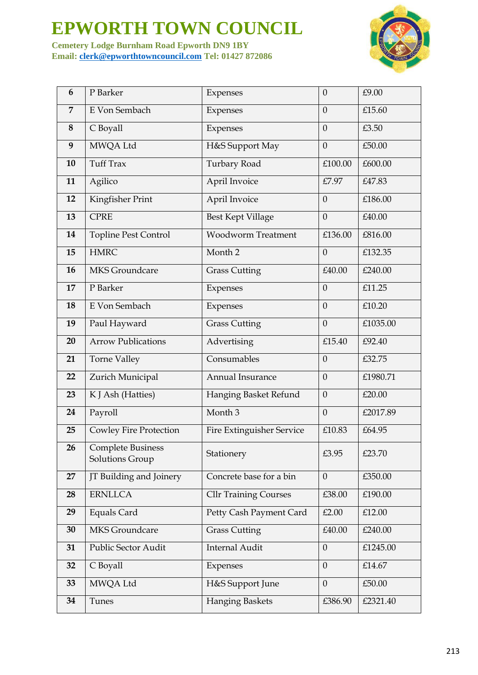**Cemetery Lodge Burnham Road Epworth DN9 1BY Email: [clerk@epworthtowncouncil.com](mailto:clerk@epworthtowncouncil.com) Tel: 01427 872086**



| 6              | P Barker                                    | Expenses                     | $\boldsymbol{0}$ | £9.00    |
|----------------|---------------------------------------------|------------------------------|------------------|----------|
| $\overline{7}$ | E Von Sembach                               | Expenses                     | $\overline{0}$   | £15.60   |
| 8              | C Boyall                                    | Expenses                     | $\overline{0}$   | £3.50    |
| 9              | MWQA Ltd                                    | H&S Support May              | $\overline{0}$   | £50.00   |
| 10             | <b>Tuff Trax</b>                            | Turbary Road                 | £100.00          | £600.00  |
| 11             | Agilico                                     | April Invoice                | £7.97            | £47.83   |
| 12             | Kingfisher Print                            | April Invoice                | $\overline{0}$   | £186.00  |
| 13             | <b>CPRE</b>                                 | <b>Best Kept Village</b>     | $\overline{0}$   | £40.00   |
| 14             | <b>Topline Pest Control</b>                 | <b>Woodworm Treatment</b>    | £136.00          | £816.00  |
| 15             | <b>HMRC</b>                                 | Month <sub>2</sub>           | $\boldsymbol{0}$ | £132.35  |
| 16             | <b>MKS</b> Groundcare                       | <b>Grass Cutting</b>         | £40.00           | £240.00  |
| 17             | P Barker                                    | Expenses                     | $\overline{0}$   | £11.25   |
| 18             | E Von Sembach                               | Expenses                     | $\boldsymbol{0}$ | £10.20   |
| 19             | Paul Hayward                                | <b>Grass Cutting</b>         | $\overline{0}$   | £1035.00 |
| 20             | <b>Arrow Publications</b>                   | Advertising                  | £15.40           | £92.40   |
| 21             | Torne Valley                                | Consumables                  | $\overline{0}$   | £32.75   |
| 22             | Zurich Municipal                            | Annual Insurance             | $\overline{0}$   | £1980.71 |
| 23             | K J Ash (Hatties)                           | Hanging Basket Refund        | $\overline{0}$   | £20.00   |
| 24             | Payroll                                     | Month <sub>3</sub>           | $\boldsymbol{0}$ | £2017.89 |
| 25             | <b>Cowley Fire Protection</b>               | Fire Extinguisher Service    | £10.83           | £64.95   |
| 26             | <b>Complete Business</b><br>Solutions Group | Stationery                   | £3.95            | £23.70   |
| 27             | JT Building and Joinery                     | Concrete base for a bin      | $\overline{0}$   | £350.00  |
| 28             | <b>ERNLLCA</b>                              | <b>Cllr Training Courses</b> | £38.00           | £190.00  |
| 29             | <b>Equals Card</b>                          | Petty Cash Payment Card      | £2.00            | £12.00   |
| 30             | <b>MKS</b> Groundcare                       | <b>Grass Cutting</b>         | £40.00           | £240.00  |
| 31             | Public Sector Audit                         | <b>Internal Audit</b>        | $\overline{0}$   | £1245.00 |
| 32             | C Boyall                                    | Expenses                     | $\boldsymbol{0}$ | £14.67   |
| 33             | MWQA Ltd                                    | H&S Support June             | $\overline{0}$   | £50.00   |
| 34             | Tunes                                       | <b>Hanging Baskets</b>       | £386.90          | £2321.40 |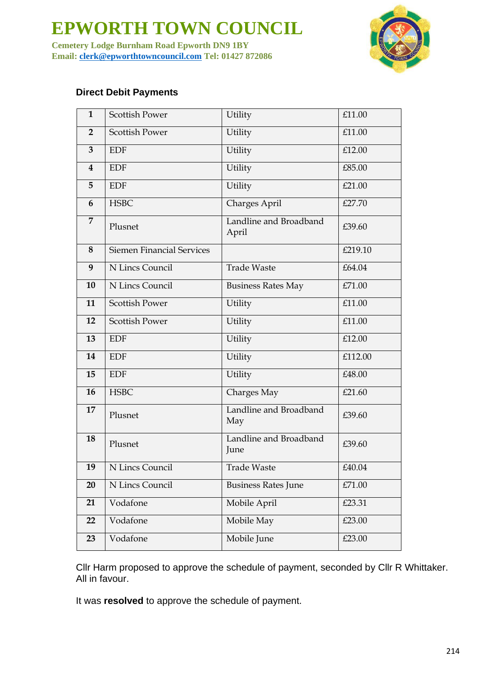**Cemetery Lodge Burnham Road Epworth DN9 1BY Email: [clerk@epworthtowncouncil.com](mailto:clerk@epworthtowncouncil.com) Tel: 01427 872086**



#### **Direct Debit Payments**

| $\mathbf{1}$            | <b>Scottish Power</b>            | Utility                         | £11.00  |
|-------------------------|----------------------------------|---------------------------------|---------|
| $\overline{2}$          | <b>Scottish Power</b>            | Utility                         | £11.00  |
| $\overline{3}$          | <b>EDF</b>                       | Utility                         | £12.00  |
| $\overline{\mathbf{4}}$ | <b>EDF</b>                       | Utility                         | £85.00  |
| 5                       | <b>EDF</b>                       | Utility                         | £21.00  |
| 6                       | <b>HSBC</b>                      | Charges April                   | £27.70  |
| $\overline{7}$          | Plusnet                          | Landline and Broadband<br>April | £39.60  |
| 8                       | <b>Siemen Financial Services</b> |                                 | £219.10 |
| 9                       | N Lincs Council                  | <b>Trade Waste</b>              | £64.04  |
| 10                      | N Lincs Council                  | <b>Business Rates May</b>       | £71.00  |
| 11                      | <b>Scottish Power</b>            | Utility                         | £11.00  |
| 12                      | <b>Scottish Power</b>            | Utility                         | £11.00  |
| 13                      | <b>EDF</b>                       | Utility                         | £12.00  |
| 14                      | <b>EDF</b>                       | Utility                         | £112.00 |
| 15                      | <b>EDF</b>                       | Utility                         | £48.00  |
| 16                      | <b>HSBC</b>                      | Charges May                     | £21.60  |
| 17                      | Plusnet                          | Landline and Broadband<br>May   | £39.60  |
| 18                      | Plusnet                          | Landline and Broadband<br>June  | £39.60  |
| 19                      | N Lincs Council                  | <b>Trade Waste</b>              | £40.04  |
| 20                      | N Lincs Council                  | <b>Business Rates June</b>      | £71.00  |
| 21                      | Vodafone                         | Mobile April                    | £23.31  |
| 22                      | Vodafone                         | Mobile May                      | £23.00  |
| 23                      | Vodafone                         | Mobile June                     | £23.00  |

Cllr Harm proposed to approve the schedule of payment, seconded by Cllr R Whittaker. All in favour.

It was **resolved** to approve the schedule of payment.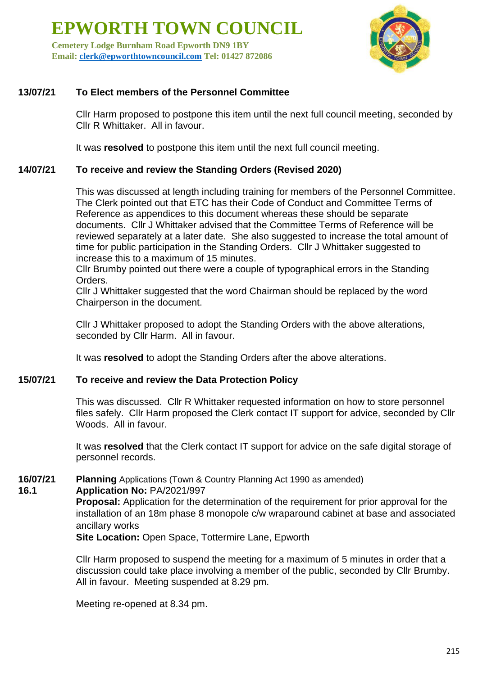**Cemetery Lodge Burnham Road Epworth DN9 1BY Email: [clerk@epworthtowncouncil.com](mailto:clerk@epworthtowncouncil.com) Tel: 01427 872086**



#### **13/07/21 To Elect members of the Personnel Committee**

Cllr Harm proposed to postpone this item until the next full council meeting, seconded by Cllr R Whittaker. All in favour.

It was **resolved** to postpone this item until the next full council meeting.

#### **14/07/21 To receive and review the Standing Orders (Revised 2020)**

This was discussed at length including training for members of the Personnel Committee. The Clerk pointed out that ETC has their Code of Conduct and Committee Terms of Reference as appendices to this document whereas these should be separate documents. Cllr J Whittaker advised that the Committee Terms of Reference will be reviewed separately at a later date. She also suggested to increase the total amount of time for public participation in the Standing Orders. Cllr J Whittaker suggested to increase this to a maximum of 15 minutes.

Cllr Brumby pointed out there were a couple of typographical errors in the Standing Orders.

Cllr J Whittaker suggested that the word Chairman should be replaced by the word Chairperson in the document.

Cllr J Whittaker proposed to adopt the Standing Orders with the above alterations, seconded by Cllr Harm. All in favour.

It was **resolved** to adopt the Standing Orders after the above alterations.

#### **15/07/21 To receive and review the Data Protection Policy**

This was discussed. Cllr R Whittaker requested information on how to store personnel files safely. Cllr Harm proposed the Clerk contact IT support for advice, seconded by Cllr Woods. All in favour.

It was **resolved** that the Clerk contact IT support for advice on the safe digital storage of personnel records.

#### **16/07/21 Planning** Applications (Town & Country Planning Act 1990 as amended)

#### **16.1 Application No:** PA/2021/997

**Proposal:** Application for the determination of the requirement for prior approval for the installation of an 18m phase 8 monopole c/w wraparound cabinet at base and associated ancillary works

**Site Location:** Open Space, Tottermire Lane, Epworth

Cllr Harm proposed to suspend the meeting for a maximum of 5 minutes in order that a discussion could take place involving a member of the public, seconded by Cllr Brumby. All in favour. Meeting suspended at 8.29 pm.

Meeting re-opened at 8.34 pm.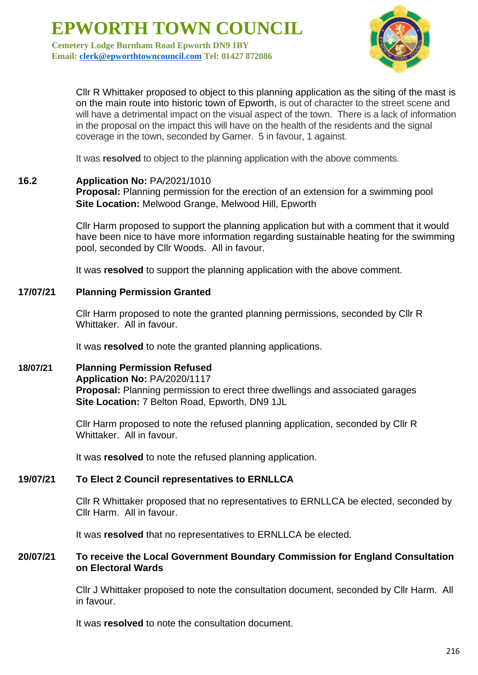**Cemetery Lodge Burnham Road Epworth DN9 1BY Email: [clerk@epworthtowncouncil.com](mailto:clerk@epworthtowncouncil.com) Tel: 01427 872086**



Cllr R Whittaker proposed to object to this planning application as the siting of the mast is on the main route into historic town of Epworth, is out of character to the street scene and will have a detrimental impact on the visual aspect of the town. There is a lack of information in the proposal on the impact this will have on the health of the residents and the signal coverage in the town, seconded by Garner. 5 in favour, 1 against.

It was **resolved** to object to the planning application with the above comments.

#### **16.2 Application No:** PA/2021/1010

**Proposal:** Planning permission for the erection of an extension for a swimming pool **Site Location:** Melwood Grange, Melwood Hill, Epworth

Cllr Harm proposed to support the planning application but with a comment that it would have been nice to have more information regarding sustainable heating for the swimming pool, seconded by Cllr Woods. All in favour.

It was **resolved** to support the planning application with the above comment.

#### **17/07/21 Planning Permission Granted**

Cllr Harm proposed to note the granted planning permissions, seconded by Cllr R Whittaker. All in favour.

It was **resolved** to note the granted planning applications.

**18/07/21 Planning Permission Refused Application No:** PA/2020/1117 **Proposal:** Planning permission to erect three dwellings and associated garages **Site Location:** 7 Belton Road, Epworth, DN9 1JL

> Cllr Harm proposed to note the refused planning application, seconded by Cllr R Whittaker. All in favour.

It was **resolved** to note the refused planning application.

#### **19/07/21 To Elect 2 Council representatives to ERNLLCA**

Cllr R Whittaker proposed that no representatives to ERNLLCA be elected, seconded by Cllr Harm. All in favour.

It was **resolved** that no representatives to ERNLLCA be elected.

#### **20/07/21 To receive the Local Government Boundary Commission for England Consultation on Electoral Wards**

Cllr J Whittaker proposed to note the consultation document, seconded by Cllr Harm. All in favour.

It was **resolved** to note the consultation document.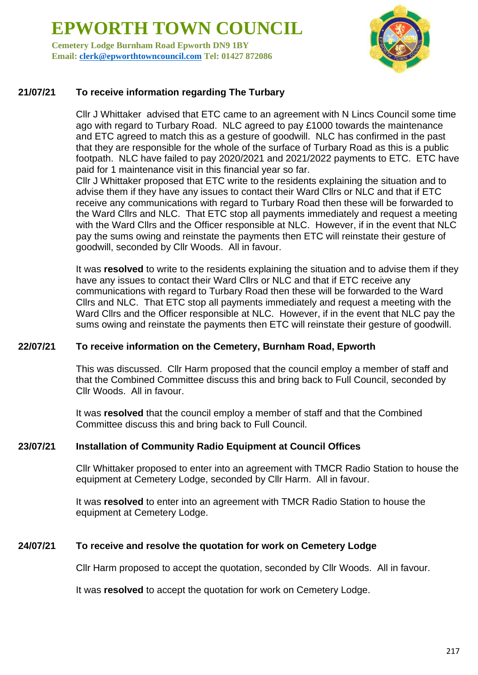**Cemetery Lodge Burnham Road Epworth DN9 1BY Email: [clerk@epworthtowncouncil.com](mailto:clerk@epworthtowncouncil.com) Tel: 01427 872086**



#### **21/07/21 To receive information regarding The Turbary**

Cllr J Whittaker advised that ETC came to an agreement with N Lincs Council some time ago with regard to Turbary Road. NLC agreed to pay £1000 towards the maintenance and ETC agreed to match this as a gesture of goodwill. NLC has confirmed in the past that they are responsible for the whole of the surface of Turbary Road as this is a public footpath. NLC have failed to pay 2020/2021 and 2021/2022 payments to ETC. ETC have paid for 1 maintenance visit in this financial year so far.

Cllr J Whittaker proposed that ETC write to the residents explaining the situation and to advise them if they have any issues to contact their Ward Cllrs or NLC and that if ETC receive any communications with regard to Turbary Road then these will be forwarded to the Ward Cllrs and NLC. That ETC stop all payments immediately and request a meeting with the Ward Cllrs and the Officer responsible at NLC. However, if in the event that NLC pay the sums owing and reinstate the payments then ETC will reinstate their gesture of goodwill, seconded by Cllr Woods. All in favour.

It was **resolved** to write to the residents explaining the situation and to advise them if they have any issues to contact their Ward Cllrs or NLC and that if ETC receive any communications with regard to Turbary Road then these will be forwarded to the Ward Cllrs and NLC. That ETC stop all payments immediately and request a meeting with the Ward Cllrs and the Officer responsible at NLC. However, if in the event that NLC pay the sums owing and reinstate the payments then ETC will reinstate their gesture of goodwill.

#### **22/07/21 To receive information on the Cemetery, Burnham Road, Epworth**

This was discussed. Cllr Harm proposed that the council employ a member of staff and that the Combined Committee discuss this and bring back to Full Council, seconded by Cllr Woods. All in favour.

It was **resolved** that the council employ a member of staff and that the Combined Committee discuss this and bring back to Full Council.

#### **23/07/21 Installation of Community Radio Equipment at Council Offices**

Cllr Whittaker proposed to enter into an agreement with TMCR Radio Station to house the equipment at Cemetery Lodge, seconded by Cllr Harm. All in favour.

It was **resolved** to enter into an agreement with TMCR Radio Station to house the equipment at Cemetery Lodge.

#### **24/07/21 To receive and resolve the quotation for work on Cemetery Lodge**

Cllr Harm proposed to accept the quotation, seconded by Cllr Woods. All in favour.

It was **resolved** to accept the quotation for work on Cemetery Lodge.